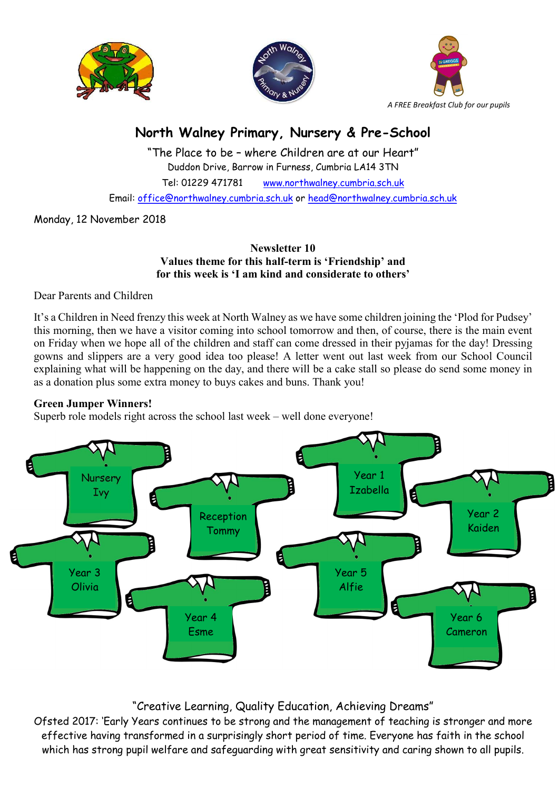





# North Walney Primary, Nursery & Pre-School

"The Place to be – where Children are at our Heart" Duddon Drive, Barrow in Furness, Cumbria LA14 3TN Tel: 01229 471781 www.northwalney.cumbria.sch.uk Email: office@northwalney.cumbria.sch.uk or head@northwalney.cumbria.sch.uk

Monday, 12 November 2018

#### Newsletter 10 Values theme for this half-term is 'Friendship' and for this week is 'I am kind and considerate to others'

Dear Parents and Children

It's a Children in Need frenzy this week at North Walney as we have some children joining the 'Plod for Pudsey' this morning, then we have a visitor coming into school tomorrow and then, of course, there is the main event on Friday when we hope all of the children and staff can come dressed in their pyjamas for the day! Dressing gowns and slippers are a very good idea too please! A letter went out last week from our School Council explaining what will be happening on the day, and there will be a cake stall so please do send some money in as a donation plus some extra money to buys cakes and buns. Thank you!

## Green Jumper Winners!

Superb role models right across the school last week – well done everyone!



## "Creative Learning, Quality Education, Achieving Dreams"

Ofsted 2017: 'Early Years continues to be strong and the management of teaching is stronger and more effective having transformed in a surprisingly short period of time. Everyone has faith in the school which has strong pupil welfare and safeguarding with great sensitivity and caring shown to all pupils.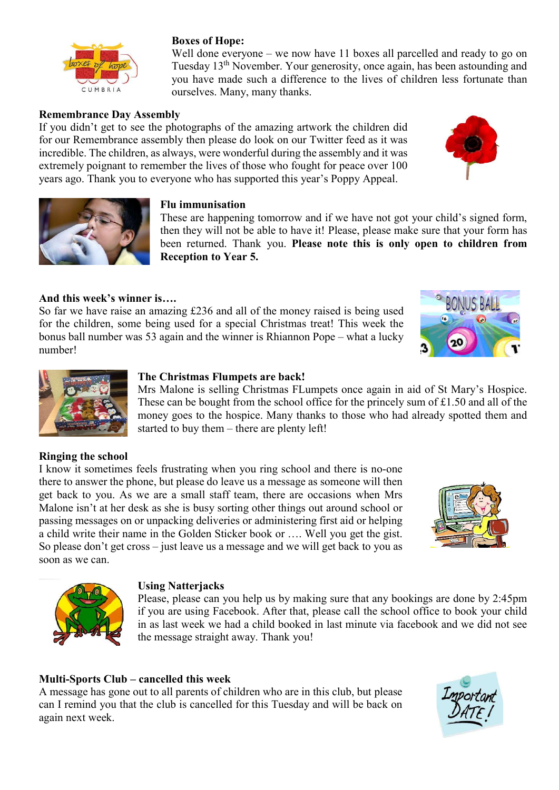

### Boxes of Hope:

Well done everyone – we now have 11 boxes all parcelled and ready to go on Tuesday 13th November. Your generosity, once again, has been astounding and you have made such a difference to the lives of children less fortunate than ourselves. Many, many thanks.

### Remembrance Day Assembly

If you didn't get to see the photographs of the amazing artwork the children did for our Remembrance assembly then please do look on our Twitter feed as it was incredible. The children, as always, were wonderful during the assembly and it was extremely poignant to remember the lives of those who fought for peace over 100 years ago. Thank you to everyone who has supported this year's Poppy Appeal.





#### Flu immunisation

These are happening tomorrow and if we have not got your child's signed form, then they will not be able to have it! Please, please make sure that your form has been returned. Thank you. Please note this is only open to children from Reception to Year 5.

#### And this week's winner is….

So far we have raise an amazing £236 and all of the money raised is being used for the children, some being used for a special Christmas treat! This week the bonus ball number was 53 again and the winner is Rhiannon Pope – what a lucky number!



![](_page_1_Picture_12.jpeg)

#### The Christmas Flumpets are back!

Mrs Malone is selling Christmas FLumpets once again in aid of St Mary's Hospice. These can be bought from the school office for the princely sum of £1.50 and all of the money goes to the hospice. Many thanks to those who had already spotted them and started to buy them – there are plenty left!

#### Ringing the school

I know it sometimes feels frustrating when you ring school and there is no-one there to answer the phone, but please do leave us a message as someone will then get back to you. As we are a small staff team, there are occasions when Mrs Malone isn't at her desk as she is busy sorting other things out around school or passing messages on or unpacking deliveries or administering first aid or helping a child write their name in the Golden Sticker book or …. Well you get the gist. So please don't get cross – just leave us a message and we will get back to you as soon as we can.

![](_page_1_Picture_17.jpeg)

![](_page_1_Picture_18.jpeg)

#### Using Natterjacks

Please, please can you help us by making sure that any bookings are done by 2:45pm if you are using Facebook. After that, please call the school office to book your child in as last week we had a child booked in last minute via facebook and we did not see the message straight away. Thank you!

#### Multi-Sports Club – cancelled this week

A message has gone out to all parents of children who are in this club, but please can I remind you that the club is cancelled for this Tuesday and will be back on again next week.

![](_page_1_Picture_23.jpeg)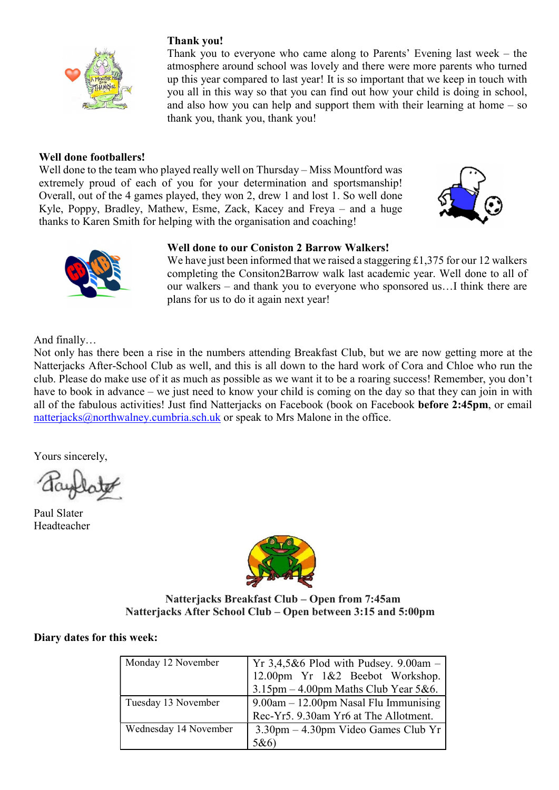![](_page_2_Picture_0.jpeg)

### Thank you!

Thank you to everyone who came along to Parents' Evening last week – the atmosphere around school was lovely and there were more parents who turned up this year compared to last year! It is so important that we keep in touch with you all in this way so that you can find out how your child is doing in school, and also how you can help and support them with their learning at home – so thank you, thank you, thank you!

#### Well done footballers!

Well done to the team who played really well on Thursday – Miss Mountford was extremely proud of each of you for your determination and sportsmanship! Overall, out of the 4 games played, they won 2, drew 1 and lost 1. So well done Kyle, Poppy, Bradley, Mathew, Esme, Zack, Kacey and Freya – and a huge thanks to Karen Smith for helping with the organisation and coaching!

![](_page_2_Picture_5.jpeg)

![](_page_2_Picture_6.jpeg)

#### Well done to our Coniston 2 Barrow Walkers!

We have just been informed that we raised a staggering  $£1,375$  for our 12 walkers completing the Consiton2Barrow walk last academic year. Well done to all of our walkers – and thank you to everyone who sponsored us…I think there are plans for us to do it again next year!

And finally…

Not only has there been a rise in the numbers attending Breakfast Club, but we are now getting more at the Natterjacks After-School Club as well, and this is all down to the hard work of Cora and Chloe who run the club. Please do make use of it as much as possible as we want it to be a roaring success! Remember, you don't have to book in advance – we just need to know your child is coming on the day so that they can join in with all of the fabulous activities! Just find Natterjacks on Facebook (book on Facebook before 2:45pm, or email natterjacks@northwalney.cumbria.sch.uk or speak to Mrs Malone in the office.

Yours sincerely,

Paul Slater Headteacher

![](_page_2_Picture_14.jpeg)

#### Natterjacks Breakfast Club – Open from 7:45am Natterjacks After School Club – Open between 3:15 and 5:00pm

#### Diary dates for this week:

| Monday 12 November    | Yr 3,4,5&6 Plod with Pudsey. $9.00am -$<br>12.00pm Yr 1&2 Beebot Workshop.<br>$3.15$ pm - 4.00pm Maths Club Year 5&6. |
|-----------------------|-----------------------------------------------------------------------------------------------------------------------|
| Tuesday 13 November   | 9.00am - 12.00pm Nasal Flu Immunising<br>Rec-Yr5. 9.30am Yr6 at The Allotment.                                        |
| Wednesday 14 November | $3.30 \text{pm} - 4.30 \text{pm}$ Video Games Club Yr<br>5&6                                                          |